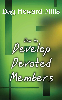# Dag Heward-Mills

# How to Develop

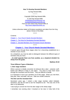# **How To Develop Devoted Members**

by Dag Heward-Mills

\* \* \* \* \*

Copyright 2008 Dag Heward-Mills

E mail Dag Heward-Mills [info@daghewardmillsbooks.org](mailto:info@daghewardmillsbooks.org) [evangelist@daghewardmills.org](mailto:evangelist@daghewardmills.org) Find out more about Dag Heward-Mills at: [http://www.daghewardmills.org](http://www.daghewardmills.org/)

Unless otherwise stated, all Scripture quotations are taken from the King James Version of the Bible

\*\*\*\*\*\*\*

**Contents** 

Chapter 1 - [Your Church Needs Devoted Members](#page-1-0)

Chapter 2 - [Ten Keys for Developing Devoted Members](#page-2-0)

Chapter 3 - [Devoted Members Are Permanent Church Members](#page-8-0)

\*\*\*\*\*\*\*

# <span id="page-1-0"></span>**Chapter 1 - Your Church Needs Devoted Members**

A person goes through three stages when he is becoming established as a member of your church.

As a shepherd, you must be able to distinguish between the different types of members that you have.

**…he shall separate them one from another, as a shepherd divideth his sheep from the goats.**

**Matthew 25:32**

# **Three Different Types of Members**

# **1. Deer stage members**

When a person is initially converted, he behaves like a deer: untamed, swiftfooted and difficult to keep in one place. You have to track them down through the mountains and the forest. They are difficult to handle.

It is important to move your members out of this stage. When you visit them, they play "hide- and-seek" with you. Deer are nimble creatures.

# **The Deer and the Assistant Deer**

Seventeen years ago, I visited a deer stage member called Adelaide. Somehow, she did not want to see her shepherd at all. This was one of the deer in my fellowship.

I was trying to convert her from the deer stage to the sheep stage.

I remember one evening when I knocked on her door in Volta Hall of the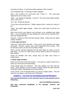University of Ghana. A voice from within answered, "Who is there?"

"It's me Brother Dag. I'm looking for Sister Adelaide."

After a few moments her room-mate said, "Come in." This room-mate happened to be her sister, Irene.

"Hello. I am looking for Adelaide. Is she in?" The room-mate smiled sweetly, "Sorry, she's not in."

"Oh, I see. Where did she go?"

"I'm not sure, she just went out." "Alright, please tell her I came by to check on her."

"Okay," she smiled again sweetly. "When she comes back I'll tell her you were here."

Each room had its own balcony, and unknown to me, Adelaide was hiding there. I was a shepherd who was dealing with a deer and an assistant deer. Only deer dodge and hide.

However, I worked on them until they became sheep. Today, they are stable "sheep" members.

#### **2. Goat stage members**

Goats are a little better than deer. They are far more domestic and easily accessible. However, a goat is much more independent than a sheep. They do what they want to do and are less likely to follow.

When a church member graduates from the deer stage, he moves on to the goat stage. As soon as a deer sees a human being, it takes off, whereas a goat remains.

*Goats are friendlier than deer, though they can often have traces of stubbornness.*

# **3. Sheep stage members**

Sheep are the best of the three groups. Your goal as a pastor should be to have your church full of devoted sheep.

These people follow the shepherd. They stay together and move with the group. Such members are much easier to pastor. Sheep are often devoted, committed, faithful, dependable and loving members.

If your church is full of devoted sheep, you will be a happy pastor. They will stay near you always, and receive your ministration.

# <span id="page-2-0"></span>**Chapter 2 - Ten Keys for Developing Devoted Members**

**They devoted themselves to the instruction given by the apostles and to fellowship…**

**Acts 2:42 (Moffatt translation)**

**And they continued steadfastly in the apostles' doctrine and fellowship,…**

**Acts 2:42**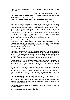# **They devoted themselves to the apostles' teaching and to the fellowship,…**

# **Acts 2:42 (New International Version)**

The number one task of a shepherd is to transform the members from deer to devoted sheep. How is this possible?

# **But we all…are changed into the same image from glory to glory...**

# **2 Corinthians 3:18**

Now the word *change* comes from a Greek word *metamorphoo*, which means metamorphosis. The word *metamorphosis* always reminds us of a dramatic transformation that occurs inside a cocoon when a larvae changes into a butterfly. When you see a butterfly elegantly fluttering around, you have no idea what it used to be like. There has been a drastic and major change *metamorphosis*. It is this same kind of metamorphosis, that can take place in the members of a church. People change because of the ministry of the Word. They are transformed by the renewing of their minds. Loose and dodgy Christians can become devoted and committed zealots.

Now, I want to share with you a few keys on how to develop devoted membership. **The first important thing is that you the pastor, must be devoted.** Devotion is a spiritual thing, it can be perceived. There are three main areas in which you can develop devoted membership: who you are, what you say and what you do.

# **1. Be a devoted pastor!**

The pastor must be devoted to his church and his church members. Devotion is a spiritual thing. It is transmitted sometimes by osmosis: from person to person. *The unspoken commitment and sacrifice of the leadership is contagious; it passes from one member to another without speaking.* Why do I say this? Because not all pastors are committed to their churches.

I began my ministry as a medical student. In 1987, I was already struggling as a pastor/medical student. The tradition for newly qualified doctors in Ghana is for them to travel to America to seek "greener pastures". Medical doctors earn thousands of dollars in America, England and South Africa.

My fledgling church was full of people watching to see whether I would remain in Ghana or move out of the country. When the time came for the decision to be made, I declared boldly to my members that I was staying with them. I wasn't going to leave them. From that time onwards, I noticed a dramatic change in the commitment of the members to the church.

**The sheep can sense the pastor's commitment.** No one wants to follow someone who will abandon him midstream. In addition to the senior pastor being devoted, associates and assistants must be equally committed and devoted. The assistant pastors must be devoted to the senior pastor as well as to the church members.

The seed of devotion leads to a harvest of multiplied commitment from the church members.

# **2. Say positive things about the church.**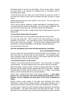Everybody wants to be part of a good thing. That is human nature. People are more likely to be devoted to something that is successful than to something that is failing.

I have learnt that you can make your church flourish by *using your mouth.* If you want your church to grow, tell the members that they are part of a good church.

Speak positively about the other pastors in the church. Do not criticize the pastors of the church.

That is why we call the Lighthouse Chapel International, "The Mega Church". I am aware that this worries some people. It is just our faith confession! We know we have a long way to go. We know that we are still learning.

But we believe that we have a mega ministry with a mega impact in a lost and dying world!

#### **3. Say positive things about the pastors.**

The associate pastor must say positive things about the senior pastor.

He must say things like, "This is some of the best teaching you can get anywhere in the world." You must tell the church, "We are blessed to have such a man of God as our pastor." The book of Acts, chapter two says that the believers continued steadfastly in the apostles' doctrine (teaching).

One version puts it this way,

#### **And they steadfastly persevered devoting themselves constantly…**

# **Acts 2:42 (Amplified version)**

You can make your church members become devoted to your teaching. Let them hear that it is the best they can get anywhere. The assistant pastor must constantly make the church aware of the precious gift that God has graciously given to them in their senior pastor.

#### **I Am the Best Preacher for My Church**

I believe I am the best preacher for my church. This is not vanity, it is biblical commonsense. I am their shepherd and I know what is best for my people.

When God gives a woman a baby, He fills her breasts with milk for her baby. God does not fill another woman's breasts with milk for that baby. Similarly, God has filled my spirit with the Word of God for my sheep. My spiritual breasts are full of spiritual milk for my spiritual children.

That is why I preach all the time to my church members. **I have other pastors, but I do ninety per cent of the preaching and teaching. This is because I am the shepherd and God gave me the duty of feeding the sheep.** 

Pastors ought to take charge of the pulpit and discharge their duties honourably. Thank God for visiting ministers. Many have ministered at my church and have been a blessing, but I am the best shepherd for my sheep.

In various ways, I make my church members become devoted to my teaching and preaching. I let them know that it's the best thing for them. If your members are not devoted to your preaching and teaching they will be devoted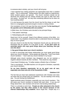to someone else's ministry, and your church will not grow.

I have watched how visiting preachers are appreciated more than a resident pastor. This is unfortunate! Visiting pastors are often hailed as superheroes, whilst resident pastors are ignored. The church members should not be deceived into thinking that the visiting minister has more to offer than their own pastor. He does not! He may have something different but he does not have anything better!

It is only because the pastor from the church has fed the sheep so well, that there is a congregation groomed enough to receive a visiting minister.

One translation of Acts 2:42 says that they were devoted **"to the teaching of the apostles and to fellowship with one another."**

In Bible times, the Christians were devoted to two principal things:

1. Their pastors' teachings.

2. Fellowshipping with one another.

Read Acts 2:42 for yourself! Read it from different versions of the Bible. It is crystal clear! Any simpleton should be able to understand these two strategic keys of church growth.

Get your church to be like the New Testament Church and you will have the thousands that are spoken of in the book of Acts. **If you don't have an associate pastor who says good things about your teaching, then get one who does!**

#### **4. Say good things about your church members.**

In order to encourage inter-sheep relationships you must speak good things about your church members. Some people say things like, "I don't trust these church members." "I don't want any church member in my house."

Although some church members may disappoint you, do not maintain a negative attitude towards all other members. That would be a big mistake!

I have heard Christians say, "I'd rather employ a Muslim than a Christian."

That is unscriptural! The Bible teaches us to do good to Christians, especially your church members.

#### **As we have therefore opportunity, let us do good unto all men, especially unto them who are of the household of faith.**

# **Galatians 6:10**

The fact that you have had unpleasant experiences with Christian men does not mean that you should marry an unbeliever. You are reacting in the wrong way. You are moving into foolishness!

Speak positively about Christians, especially your own church members. This will cause your church members to interact with each other. If you say evil things about them, new members will not form vital bonding relationships.

There is a principle at work here. **People are often attracted to the church by the pastor, but they often remain in the church because of the internal relationships they establish.** Never forget this! People stay in a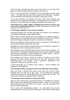church because of relationships they have in the church. It is the duty of the pastor to create interaction between members of the church.

This is a very important key to implement, if you really desire to have a large church. The Bible says that they were devoted to the fellowship. Members must be devoted to the fellowship of Christians in the same church.

If you have members who hardly know each other, then introduce and influence them to develop relationships. Encourage them to be committed to the church. Teach them that it is important to attend church all the time.

**Teach them not to make a habit of hopping from church to church, just to see what is happening elsewhere.** Explain to them that it is only the devil who goes to and fro (Job 1:7).

#### **5. Encourage employers to hire church members.**

Practically speaking, you can also encourage the members to be devoted to one another's fellowship in many different ways.

When I have a church member who is an employer in a strategic position, I encourage him to consciously help other members to get jobs. Do not think that this will happen naturally; the pastor's involvement is important.

When one Lighthouse member secures a job in a company, you will often find several other members finding their way there.

Nowadays, this often happens naturally without my involvement. However, in the beginning I had to encourage this interaction.

Many people were put off by the bad behaviour of some church members. Do not overreact to the disgraceful behaviour that some church members display when they are employed. Church members are human beings. Keep on recommending in the spirit of love and forgiveness.

One employer said that he would not employ a member of the church because the church member would arrive at work late, claiming he went witnessing early in the morning. That is nonsense! Witnessing is not supposed to make you arrive late for work.

I would encourage you to dismiss such a person. Church members are supposed to be disciplined!

# **6. Encourage members to apply for work from within the church family.**

When you have a member who needs a job, direct him to other church members that can help him to get a job. This increases the member's commitment because the sheep will see that you really care for them. The church then becomes an important family to belong to.

#### **7. Encourage church members to marry each other.**

Have you ever noticed how a young lady seems so committed to a church? Many of these have relationships within that church. Often it is their fiancés that act like glue which fixes them to the church. They are cemented to the church by their relationships.

This is what I call "shepherdorial cement". As I said earlier, they may be attracted initially to the church by the charismatic man of God, but they remain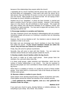because of the relationships they acquire within the church!

I repeatedly tell my church members that the person they want to marry can be found within our congregation. If they want a tall, short, fat, skinny, fair or dark person; they can find their Of course, it is not a sin to marry from outside your own church. Many people in my church do that! All I am saying is that I encourage my church members to intermarry.

Anytime one of our "daughters", in whom we have invested, is married and taken to another church, we lose a church member. However, if this member stays on in the church, she will contribute to church growth. The couple will also have children who will become members of our children's church, and eventually our adult assembly. You may want to argue with my theory, but it's working very well for me!

# **8. Encourage members to socialize and fraternize.**

The New Testament church was devoted to fellowshipping with one another! Sometimes people will accuse us of sticking to ourselves and not interacting with outsiders.

However, that is not our intention at all! Our intention is also to interact with outsiders in order to win souls.

But make sure you encourage your church members to have their friends from within the church. **If your church members' friends are within the church, they will have two reasons for coming to church.**

Firstly, they will come for spiritual nourishment.

Secondly, they will come to meet with their friends. You can easily lose members whose friends are mainly people outside the church.

# **9. Develop smaller church families within the big church.**

My church is made up of many small groups. Some groups have ten members, five, and even others have fifty.

It is these small groups, called ministries and fellowships, which form the nucleus of family relationships in our church. You may be surprised to discover that people are more committed to these smaller groups than to the big church.

When there is a wedding or funeral, it is usually the concern of these smaller groups. Even when there is a social event, most of the friends are drawn out of these same groups.

# **10. Become a father or mother to your church.**

Some pastors never develop beyond being a teacher of doctrines and truths. Chicks gather around the mother hen because of her motherly security.

# **…I have gathered thy children together, even as a hen gathereth her chickens under her wings,…**

# **Matthew 23:37**

If you want your church to grow, develop fatherly or motherly attributes. Be everything to your sheep. Be a friend. Be a brother.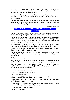Be a father. Show concern for your flock. Show interest in things that concern them. Be interested in their school. Ask for details concerning their businesses. Help them in their marriages.

Correct them when they are wrong. Rebuke them and discipline them when they need it. Don't just give them good teachings. Become a mother or a father to your flock.

**The anointing to be a father or mother is the anointing to** *gather***. To the weak became I as weak, that I might gain the weak: I am made all things to all men, that I might by all means save some.**

**1 Corinthians 9:22**

# <span id="page-8-0"></span>**Chapter 3 - Devoted Members Are Permanent Church Members**

The Lord emphasized to me the need to have permanent church members. I realized that many of the young church members were vacillators.

**The best type of church member is a permanent church member.** A permanent member is unmovable, stable and dependable throughout the years. A very important characteristic of that member is that his mind and heart are saying, *"I am here, and I am here forever."*

I am not a fool! Of course, I know that not everybody is going to stay forever. Yet, it is important for people to have the mind of staying around forever.

I am not God. If God, by His Spirit, would lead someone away from our church, there is nothing I can do about it.

It is the same thing with marriage. No good person enters a marriage with the mind that "I am in this marriage for just a few years." Who would like to marry such a person?

#### **My Famous Announcement**

One day I told my church, "I have decided to go to America to study cardiothoracic surgery." I announced, "I am going to be a heart surgeon."

I went on to explain, "The course will last for about five years after which I will need to gain some experience on the job. That will last for another five years, making the trip a total of ten years."

The whole congregation was shocked.

"Ooooooh," they said. "It can't be possible."

They all looked very sad.

"Why are you sad?" I asked, "Don't you want me to go away?"

I asked them, "How many of you would like me to be here in three years' time?" Everybody raised their hands.

I asked again, "How many of you here would like me to be here in seven years' time?" Again, they all raised their hands.

"So you don't want me to go," I said.

They all shouted, "No!"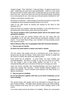I began to laugh. Then I told them, "I was just joking. I'm glad you want me to stay! I realize that you want me to stay permanently!" I went on, "If you would like me to be here in seven years' time, I would also like you to be here seven years from now. Just as you want me to be your permanent pastor, preaching to you and praying for you, I also want you to be permanent members for me!"

#### *I believe in permanent members and*

*permanent commitment.* I would strongly recommend all pastors to teach their congregations about being permanently joined to the church.

Listen to me, faith comes by hearing and hearing by the Word of God (Romans 10:17).

*What you teach your people is what they will believe.* If you want them to be a permanent part of the ministry, teach them and they will be!

#### **The church members want a permanent pastor and we the pastors want permanent members.**

I am going to give you several reasons that you can share with any congregation as to why they should become permanent members of the church. If you teach these things, your members will stop jumping around from church to church.

# **Eleven Reasons Why Your Congregation Must Be Permanent Members**

# **1. They are part of a family.**

#### **Of whom the whole family in heaven and earth is named...**

# **Ephesians 3:15**

The first reason why people must be a permanent part of the church is because they are part of a family. When every church member is taught that the church is a family, they will be less willing to leave.

Every family has its problems! In every family, you have conflicts and misunderstandings. But there is simply no way you can leave your family. You are simply a part of that family whether you like it or not. A misunderstanding with your uncle does not lead you to change your name.

Teach the church members that misunderstandings and hurts should not make them change their churches. Family members belong together in a lifetime commitment. Church members must belong to the same family in a lifetime commitment.

# **2. They are part of a building.**

#### **For we are labourers together with God: ye are God's husbandry, ye are God's building.**

# **1 Corinthians 3:9**

The second reason why people need to be permanent is because they are part of God's building. The Bible clearly teaches that we are God's building. Every Christian must know that he is part of God's building, which is the church.

You cannot easily remove the blocks of a building. Blocks are a permanent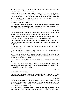part of the structure. *How would you feel if you came home and your bedroom had moved to the next house?*

Sections of buildings do not move around! I teach my church to see themselves as permanent building blocks in the building called Lighthouse Chapel International. I tell them that I have never seen a building block walk out of a building before. Such an occurrence would be magical. I trust that there is no magician amongst the members.

#### **3. They are part of a garden.**

**And now go to; I will tell you what I will do to my vineyard: [garden] I will take away the hedge thereof, and it shall be eaten up; and break down the wall thereof, and it shall be trodden down...**

#### **Isaiah 5:5**

Throughout Scripture, we see believers being referred to as a garden. If we are like a garden, then each of us is like a plant in the garden.

If you uproot a plant and replant it in another spot, you endanger the life of that shrub. In fact, if you do this repeatedly, you will kill the plant.

**It is a common fact that planting and replanting kills plants. God has no plan for planting and replanting His people in different churches every few years.**

If every time your roots go a little deeper you move around, you will kill yourself spiritually.

I have noticed that Christians who are planted and replanted in different churches often do not survive spiritually.

When the Lord asked the devil where he had been, the devil replied that he had been roaming in the earth. The devil does not sit still; he moves "to and fro" and "up and down" in the earth.

If you move to and fro, from church to church, your lifestyle resembles the devil.

**And the Lord said unto Satan, Whence comest thou? Then Satan answered the Lord, and said, From going to and fro in the earth, and from walking up and down in it.**

**Job 1:7**

#### **4. They are part of a tree.**

**I am the vine, ye are the branches: He that abideth in me, and I in him, the same bringeth forth much fruit: for without me ye can do nothing.**

#### **John 15:5**

Another important revelation is that you are a part of a tree. Jesus said that He is the vine and we are the branches. Everyone knows that a branch cut off from the tree is dead. Branches are intended to be permanently fastened to bigger branches or tree trunks.

**If you are indeed a branch, have no plans of moving anywhere.** People who move from church to church often do not flourish in the Kingdom of God.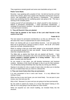They experience stunted growth and some even backslide and go to Hell.

# **Pastor Turns Rasta**

Recently, I was speaking with a prophet of God. He told me how the Lord had shown him a dream, about how a pastor who had been moving from church to church, had backslidden and had become a Rastafarian. This prophetic dream was predicting that the vacillating pastor was going to fall. This was a warning to the unstable pastor.

Cutting yourself off and attempting to re- attach yourself is risky business. I believe in permanent membership. I teach permanent membership. campaign for permanent members. *My people want a permanent pastor, and I want permanent members.*

# **5. They will flourish if they are planted.**

# **Those that be planted in the house of the Lord shall flourish in the courts of our God.**

# **Psalm 92:13**

The next reason for permanent membership is so that you will flourish. You will notice that I have a scriptural basis for each of these points.

What I am sharing with you is sound biblical doctrine. I am not saying that there are no grounds for a person to leave a church. Not at all! (For further study see my book, *Ministerial Ethics*).

What I'm saying is that you must teach people to be permanently attached and permanently planted for their own benefit. Sheep will follow and obey what their shepherd tells them.

The Bible tells us plainly that those who are planted will flourish. I have watched Christians and pastors who move around from place to place. **You cannot compare a planted member to a roving member**. Stay in one place. Develop roots and flourish!

As you remain in one place, you will develop businesses and business contacts. Members of the church will begin to rely on you for their business. You will develop lasting friendships that may help you during your lifetime.

Staying in one place for only a couple of years does not allow you to develop the sort of relationships that you need for a blessed life.

# **6. They can invest freely when they are permanent.**

It is very convenient to live in one's own house. It is very different from renting a house.

When you live in your own house, you can invest freely. You can pour in your money, your time and your life.

Why is this? Because it is yours and you are going to be there permanently.

No one wants to spend any money on a house that doesn't belong to him. After all, he is only going to use the place for a few months.

When we acquired our own church building, we invested freely into the structure.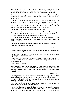One day the contractor told me, "I want to construct this building as perfectly as possible because I am going to be here for life. I want the floor to be smooth and perfect because I intend to die as a member of Lighthouse."

He continued, "One day, when I am dead and my coffin is being carried into the church for the funeral service, I would not want anyone to trip and fall over an uneven floor."

I laughed. Though this was a joke, he was also making a serious point. He had planned to remain in the church for life. In other words, he had opted for permanent membership. Permanent members will be encouraged to give their money freely. They know that they are building a church for their children's weddings and will see the fruit of their investments.

#### **7. They will have a family to celebrate their victories.**

I preach faith and hope for the future. I tell my members that things are going to get better. Many poor people come to the church. As they hear the Word, their faith rises and they begin to see better things ahead.

If they are permanent members, they will live to celebrate their victories in the church. If they are not permanent, in the day of their victory, they will have no one to rejoice with.

*Remember, that joy shared is double joy and sorrow shared is half sorrow.*

#### **Rejoice with them that do rejoice...**

# **Romans 12:15**

They will have a family to rejoice with as their new houses, new cars and new babies are dedicated.

You will stand together and remember how the Lord took them from the beginning and brought them so far!

I have often reminisced with my friends about the ministry. We ponder over how the Lord has been kind to us. We laugh about things that threatened us some years ago.

We say like the psalmist,

**When the Lord turned again the captivity of Zion, we were like them that dream. Then was our mouth filled with laughter, and our tongue with singing: then said they among the heathen, The Lord has done great things for them.**

#### **Psalm 126:1,2**

Who will you sit down with to quote this Scripture to one day? Will you have abandoned all the friends with whom you struggled in the early days? A permanent relationship will give you people to rejoice with in the day of rejoicing. Better days are ahead.

I teach my church that our better days are yet to come. I want them to stay around to see the better days of this ministry.

I remember when I used to speak about miracles. It was more like a dream. Today, we have real miracles abounding in our midst. The Lord has been good to us. We are seeing better days. When you are permanent, you will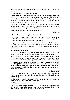have a family to go through your mourning with you. Joy shared is double joy, and sorrow shared is half sorrow.

# **8. They will see the fruit of their labour.**

It is important for Christians to know that harvest time is coming in the future. What is the use of labouring in a church for years, only to leave just before harvest time? Some of the people who were with me in the days of real struggles are no longer around to enjoy the blessings. That is a pity! That is the price you pay for not being permanent.

Anyone who is double-minded about his commitment becomes unstable in other areas of his life. The Bible states that such a person is unstable in *all* his ways. Be stable. Be permanent. Be blessed.

# **A double minded man is unstable in all his ways.**

**James 1:8**

# **9. They will avoid the deception of short relationships.**

Short relationships are sweet while they last. There are no quarrels, no emotional disturbances, no worrying comments or misunderstandings. Long relationships have often been through much testing.

Long relationships that have survived the tests of time are better. Greater trust develops. You also know what to expect in the relationship. I prefer to work with someone I have known for a long time rather than with someone I have just met.

#### **Joshua Made That Mistake!**

Joshua made the mistake of forming an alliance with someone he didn't really know. He thought the Gibeonites were ambassadors from a far country.

Little did he know that they had lied to him in order to secure a peace treaty. He later discovered their true identity. But it was too late! He was already bound to the peace accord, although it was made under a cover of deception.

**…And Joshua said unto them, Who are ye? and from whence come ye? And they [Gibeonites] said unto him, From a very far country… And it came to pass at the end of three days after they had made a league with them, that they heard that they were their neighbours, and that they dwelt among them.**

# **Joshua 9:8,9,16**

What I am saying is that longer relationships are safer relationships. Permanent members will be able to develop genuine relationships with genuine people.

As the years go by, the members will know whether they have a genuine pastor or not and they will be more committed.

# **10. They will have consistent pastoral care.**

The church, like a hospital, cares for you. Your permanent pastor can cater for you better because he has been with you for a long time and knows your history better. He is better equipped to minister to you.